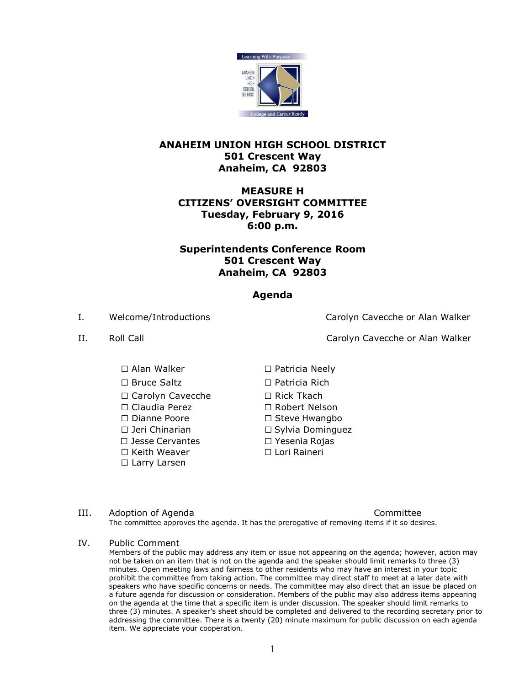

#### **ANAHEIM UNION HIGH SCHOOL DISTRICT 501 Crescent Way Anaheim, CA 92803**

# **MEASURE H CITIZENS' OVERSIGHT COMMITTEE Tuesday, February 9, 2016 6:00 p.m.**

# **Superintendents Conference Room 501 Crescent Way Anaheim, CA 92803**

# **Agenda**

☐ Alan Walker ☐ Patricia Neely

☐ Carolyn Cavecche ☐ Rick Tkach

☐ Claudia Perez ☐ Robert Nelson

☐ Jesse Cervantes ☐ Yesenia Rojas

☐ Keith Weaver

☐ Larry Larsen

I. Welcome/Introductions Carolyn Cavecche or Alan Walker

II. Roll Call Carolyn Cavecche or Alan Walker

☐ Bruce Saltz ☐ Patricia Rich

☐ Dianne Poore □ ☐ Steve Hwangbo

☐ Jeri Chinarian ☐ Sylvia Dominguez

□ ☐ Lori Raineri

III. Adoption of Agenda Committee The committee approves the agenda. It has the prerogative of removing items if it so desires.

#### IV. Public Comment

Members of the public may address any item or issue not appearing on the agenda; however, action may not be taken on an item that is not on the agenda and the speaker should limit remarks to three (3) minutes. Open meeting laws and fairness to other residents who may have an interest in your topic prohibit the committee from taking action. The committee may direct staff to meet at a later date with .<br>speakers who have specific concerns or needs. The committee may also direct that an issue be placed on a future agenda for discussion or consideration. Members of the public may also address items appearing on the agenda at the time that a specific item is under discussion. The speaker should limit remarks to three (3) minutes. A speaker's sheet should be completed and delivered to the recording secretary prior to addressing the committee. There is a twenty (20) minute maximum for public discussion on each agenda item. We appreciate your cooperation.